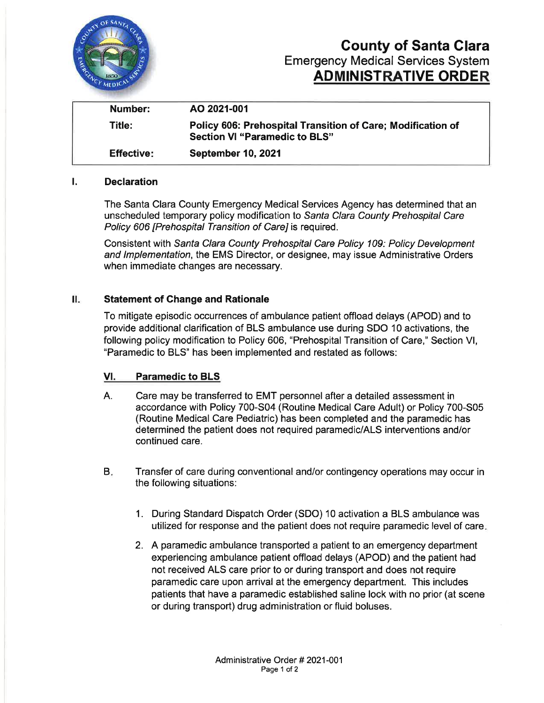

# County of Santa Clara Emergency Medícal Services System ADMINISTRATIVE ORDER

| Number:           | AO 2021-001                                                                                         |
|-------------------|-----------------------------------------------------------------------------------------------------|
| Title:            | Policy 606: Prehospital Transition of Care; Modification of<br><b>Section VI "Paramedic to BLS"</b> |
| <b>Effective:</b> | <b>September 10, 2021</b>                                                                           |

#### l. Declaration

The Santa Clara County Emergency Medical Services Agency has determined that an unscheduled temporary policy modification to Santa Clara County Prehospital Care Policy 606 [Prehospital Transition of Care] is required.

Consistent with Sanfa Clara County Prehospital Care Policy 109: Policy Development and lmplementation, the EMS Director, or designee, may issue Administrative Orders when immediate changes are necessary.

#### II. Statement of Change and Rationale

To mitigate episodic occurrences of ambulance patient offload delays (APOD) and to provide additional clarification of BLS ambulance use during SDO 10 activations, the following policy modification to Policy 606, "Prehospital Transition of Care," Section Vl, "Paramedic to BLS" has been implemented and restated as follows:

#### Vl. Paramedic to BLS

- A. Care may be transferred to EMT personnel after a detailed assessment in accordance with Policy 700-504 (Routine Medical Care Adult) or Policy 700-305 (Routine Medical Care Pediatric) has been completed and the paramedic has determined the patient does not required paramedic/ALS interventions and/or continued care.
- Transfer of care during conventional and/or contingency operations may occur in the following situations: B.
	- 1. During Standard Dispatch Order (SDO) 10 activation a BLS ambulance was utilized for response and the patient does not require paramedic level of care
	- 2. A paramedic ambulance transported a patient to an emergency department experiencing ambulance patient offload delays (APOD) and the patient had not received ALS care prior to or during transport and does not require paramedic care upon arrival at the emergency department. This includes patients that have a paramedic established saline lock with no prior (at scene or during transport) drug administration or fluid boluses.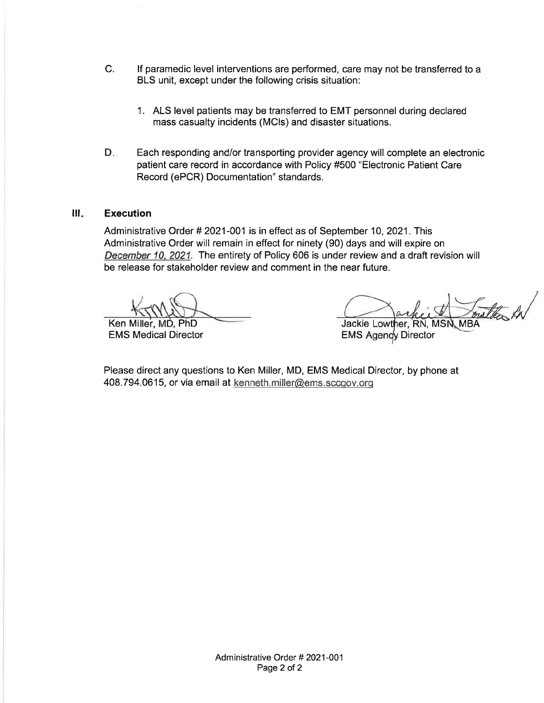- c. lf paramedic level interventions are performed, care may not be transferred to a BLS unit, except under the following crisis situation:
	- 1. ALS level patients may be transferred to EMT personnel during declared mass casualty incidents (MCls) and disaster situations.
- $D_{\infty}$ Each responding and/or transporting provider agency will complete an electronic patient care record in accordance with Policy #500 "Electronic Patient Care Record (ePCR) Documentation" standards.

#### **Execution** ill.

Administrative Order # 2021-001 is in effect as of September 10, 2021 . This Administrative Order will remain in effect for ninety (90) days and will expire on December 10. 2021. The entirety of Policy 606 is under review and a draft revision will be release for stakeholder review and comment in the near future.

Ken Miller, MD, PhD<br>
EMS Medical Director<br>
EMS Agenov Director<br>
EMS Agenov Director **EMS Agency Director** 

Please direct any questions to Ken Miller, MD, EMS Medical Director, by phone at 408.794.0615, or via email at kenneth.miller@ems.sccgov.org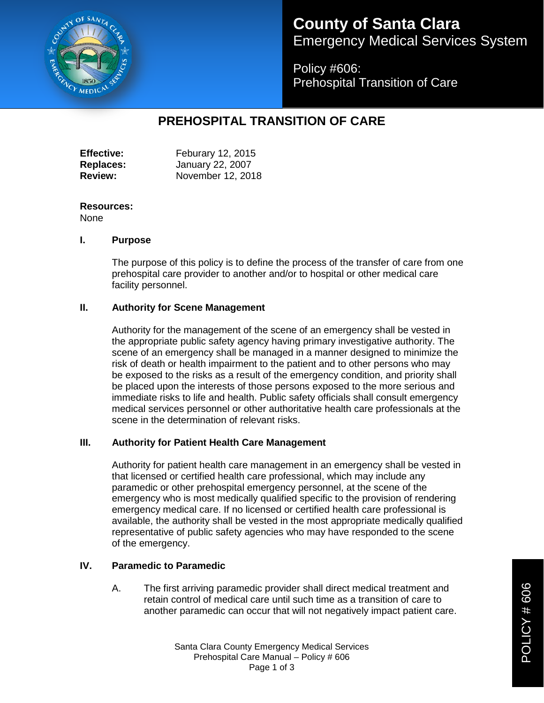

# **County of Santa Clara** Emergency Medical Services System

Policy #606: Prehospital Transition of Care

## **PREHOSPITAL TRANSITION OF CARE**

| <b>Effective:</b> | Feburary 12, 2015 |
|-------------------|-------------------|
| <b>Replaces:</b>  | January 22, 2007  |
| <b>Review:</b>    | November 12, 2018 |

### **Resources:**

None

#### **I. Purpose**

The purpose of this policy is to define the process of the transfer of care from one prehospital care provider to another and/or to hospital or other medical care facility personnel.

#### **II. Authority for Scene Management**

Authority for the management of the scene of an emergency shall be vested in the appropriate public safety agency having primary investigative authority. The scene of an emergency shall be managed in a manner designed to minimize the risk of death or health impairment to the patient and to other persons who may be exposed to the risks as a result of the emergency condition, and priority shall be placed upon the interests of those persons exposed to the more serious and immediate risks to life and health. Public safety officials shall consult emergency medical services personnel or other authoritative health care professionals at the scene in the determination of relevant risks.

#### **III. Authority for Patient Health Care Management**

Authority for patient health care management in an emergency shall be vested in that licensed or certified health care professional, which may include any paramedic or other prehospital emergency personnel, at the scene of the emergency who is most medically qualified specific to the provision of rendering emergency medical care. If no licensed or certified health care professional is available, the authority shall be vested in the most appropriate medically qualified representative of public safety agencies who may have responded to the scene of the emergency.

### **IV. Paramedic to Paramedic**

A. The first arriving paramedic provider shall direct medical treatment and retain control of medical care until such time as a transition of care to another paramedic can occur that will not negatively impact patient care.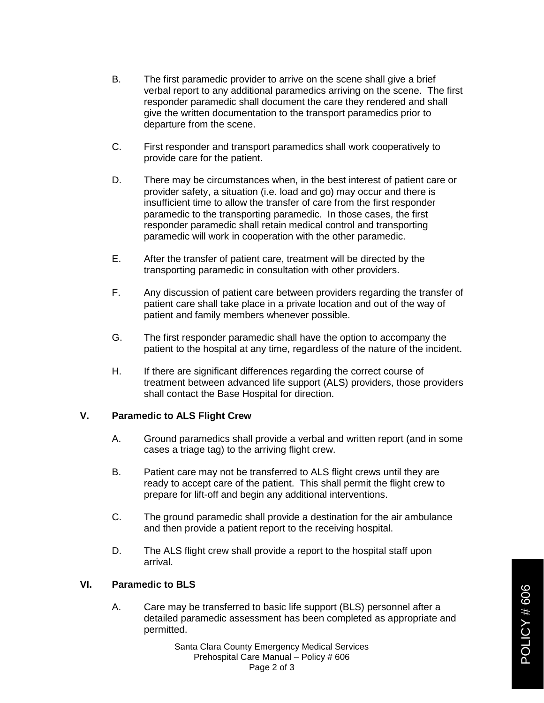- B. The first paramedic provider to arrive on the scene shall give a brief verbal report to any additional paramedics arriving on the scene. The first responder paramedic shall document the care they rendered and shall give the written documentation to the transport paramedics prior to departure from the scene.
- C. First responder and transport paramedics shall work cooperatively to provide care for the patient.
- D. There may be circumstances when, in the best interest of patient care or provider safety, a situation (i.e. load and go) may occur and there is insufficient time to allow the transfer of care from the first responder paramedic to the transporting paramedic. In those cases, the first responder paramedic shall retain medical control and transporting paramedic will work in cooperation with the other paramedic.
- E. After the transfer of patient care, treatment will be directed by the transporting paramedic in consultation with other providers.
- F. Any discussion of patient care between providers regarding the transfer of patient care shall take place in a private location and out of the way of patient and family members whenever possible.
- G. The first responder paramedic shall have the option to accompany the patient to the hospital at any time, regardless of the nature of the incident.
- H. If there are significant differences regarding the correct course of treatment between advanced life support (ALS) providers, those providers shall contact the Base Hospital for direction.

#### **V. Paramedic to ALS Flight Crew**

- A. Ground paramedics shall provide a verbal and written report (and in some cases a triage tag) to the arriving flight crew.
- B. Patient care may not be transferred to ALS flight crews until they are ready to accept care of the patient. This shall permit the flight crew to prepare for lift-off and begin any additional interventions.
- C. The ground paramedic shall provide a destination for the air ambulance and then provide a patient report to the receiving hospital.
- D. The ALS flight crew shall provide a report to the hospital staff upon arrival.

#### **VI. Paramedic to BLS**

A. Care may be transferred to basic life support (BLS) personnel after a detailed paramedic assessment has been completed as appropriate and permitted.

> Santa Clara County Emergency Medical Services Prehospital Care Manual – Policy # 606 Page 2 of 3